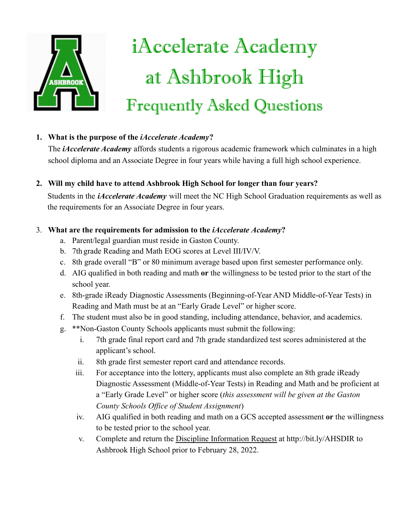

# iAccelerate Academy at Ashbrook High **Frequently Asked Questions**

## **1. What is the purpose of the** *iAccelerate Academy***?**

The *iAccelerate Academy* affords students a rigorous academic framework which culminates in a high school diploma and an Associate Degree in four years while having a full high school experience.

## **2. Will my child have to attend Ashbrook High School for longer than four years?**

Students in the *iAccelerate Academy* will meet the NC High School Graduation requirements as well as the requirements for an Associate Degree in four years.

### 3. **What are the requirements for admission to the** *iAccelerate Academy***?**

- a. Parent/legal guardian must reside in Gaston County.
- b. 7th grade Reading and Math EOG scores at Level III/IV/V.
- c. 8th grade overall "B" or 80 minimum average based upon first semester performance only.
- d. AIG qualified in both reading and math **or** the willingness to be tested prior to the start of the school year.
- e. 8th-grade iReady Diagnostic Assessments (Beginning-of-Year AND Middle-of-Year Tests) in Reading and Math must be at an "Early Grade Level" or higher score.
- f. The student must also be in good standing, including attendance, behavior, and academics.
- g. \*\*Non-Gaston County Schools applicants must submit the following:
	- i. 7th grade final report card and 7th grade standardized test scores administered at the applicant's school.
	- ii. 8th grade first semester report card and attendance records.
	- iii. For acceptance into the lottery, applicants must also complete an 8th grade iReady Diagnostic Assessment (Middle-of-Year Tests) in Reading and Math and be proficient at a "Early Grade Level" or higher score (*this assessment will be given at the Gaston County Schools Office of Student Assignment*)
	- iv. AIG qualified in both reading and math on a GCS accepted assessment **or** the willingness to be tested prior to the school year.
	- v. Complete and return the [Discipline Information Request](https://docs.google.com/document/d/1MoDkC7sagxqktLpmuokRMv7piDN5DDXDrP23YVaK0tQ/edit?usp=sharing) at http://bit.ly/AHSDIR to Ashbrook High School prior to February 28, 2022.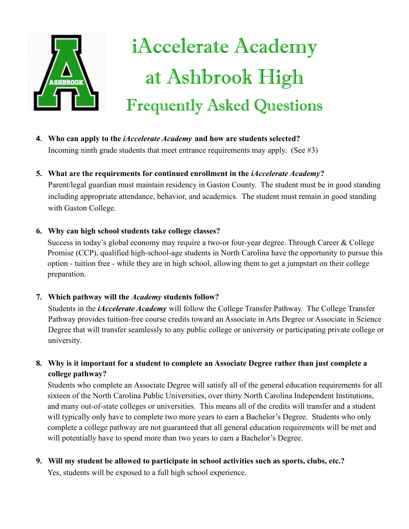

# iAccelerate Academy at Ashbrook High **Frequently Asked Questions**

**4. Who can apply to the** *iAccelerate Academy* **and how are students selected?** Incoming ninth grade students that meet entrance requirements may apply. (See  $\#3$ )

### **5. What are the requirements for continued enrollment in the** *iAccelerate Academy***?**

Parent/legal guardian must maintain residency in Gaston County. The student must be in good standing including appropriate attendance, behavior, and academics. The student must remain in good standing with Gaston College.

#### **6. Why can high school students take college classes?**

Success in today's global economy may require a two-or four-year degree. Through Career & College Promise (CCP), qualified high-school-age students in North Carolina have the opportunity to pursue this option - tuition free - while they are in high school, allowing them to get a jumpstart on their college preparation.

#### **7. Which pathway will the** *Academy* **students follow?**

Students in the *iAccelerate Academy* will follow the College Transfer Pathway. The College Transfer Pathway provides tuition-free course credits toward an Associate in Arts Degree or Associate in Science Degree that will transfer seamlessly to any public college or university or participating private college or university.

**8. Why is it important for a student to complete an Associate Degree rather than just complete a college pathway?**

Students who complete an Associate Degree will satisfy all of the general education requirements for all sixteen of the North Carolina Public Universities, over thirty North Carolina Independent Institutions, and many out-of-state colleges or universities. This means all of the credits will transfer and a student will typically only have to complete two more years to earn a Bachelor's Degree. Students who only complete a college pathway are not guaranteed that all general education requirements will be met and will potentially have to spend more than two years to earn a Bachelor's Degree.

## **9. Will my student be allowed to participate in school activities such as sports, clubs, etc.?**

Yes, students will be exposed to a full high school experience.